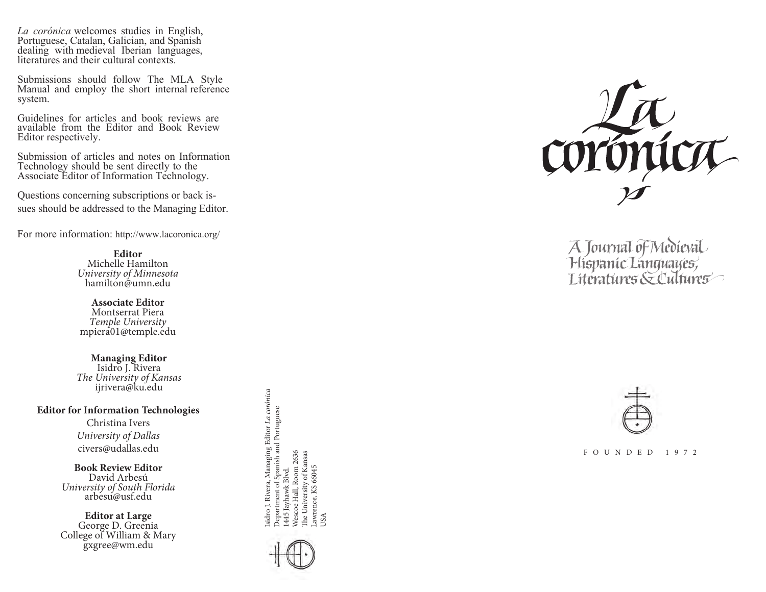*La corónica* welcomes studies in English, Portuguese, Catalan, Galician, and Spanish dealing with medieval Iberian languages, literatures and their cultural contexts.

Submissions should follow The MLA Style Manual and employ the short internal reference system.

Guidelines for articles and book reviews are available from the Editor and Book Review Editor respectively.

Submission of articles and notes on Information Technology should be sent directly to the Associate Editor of Information Technology.

Questions concerning subscriptions or back issues should be addressed to the Managing Editor.

For more information: http://www.lacoronica.org/

**Editor**  Michelle Hamilton *University of Minnesota*  hamilton@umn.edu

**Associate Editor** Montserrat Piera *Temple University* mpiera01@temple.edu

**Managing Editor** Isidro J. Rivera *The University of Kansas* ijrivera@ku.edu

**Editor for Information Technologies**

Christina Iver s *University of Dallas* civers@udallas.edu

**Book Review Editor** David Arbesú *University of South Florida* arbesu @usf.edu

**Editor at Large** George D. Greenia College of William & Mary gxgree@wm.edu

Isidro J. Rivera, Managing Editor *La corónica*<br>Department of Spanish and Portuguese<br>1445 Jayhawk Blvd.<br>Wescoe Hall, Room 2636<br>The University of Kansas<br>Lawrence, KS 66045 Isidro J. Rivera, Managing Editor *La corónica* Department of Spanish and Portuguese Wescoe Hall, Room 2636 The University of Kansas Lawrence, KS 66045 1445 Jayhawk Blvd.



USA



A Journal of Medieval<br>Hispanic Languages,<br>Literatures & Cultures



F O U N D E D 1 9 7 2